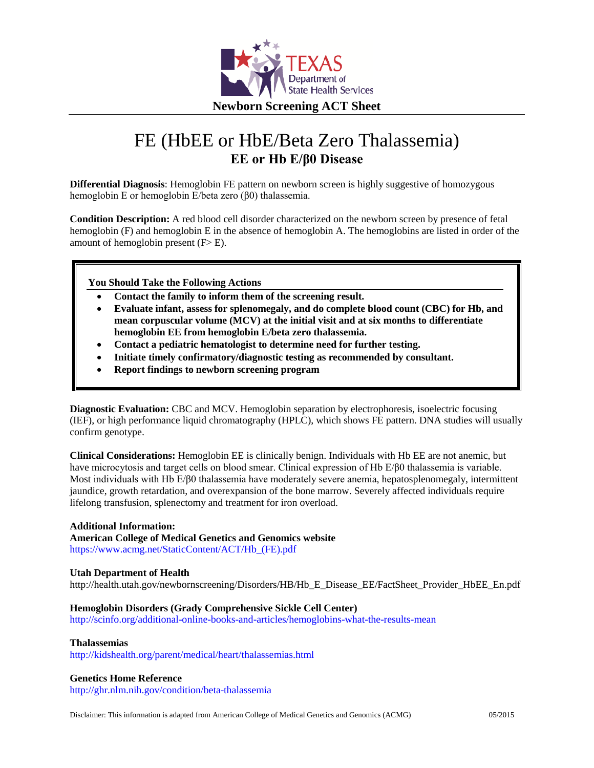

# FE (HbEE or HbE/Beta Zero Thalassemia) **EE or Hb E/β0 Disease**

**Differential Diagnosis**: Hemoglobin FE pattern on newborn screen is highly suggestive of homozygous hemoglobin E or hemoglobin E/beta zero (β0) thalassemia.

**Condition Description:** A red blood cell disorder characterized on the newborn screen by presence of fetal hemoglobin (F) and hemoglobin E in the absence of hemoglobin A. The hemoglobins are listed in order of the amount of hemoglobin present  $(F>E)$ .

**You Should Take the Following Actions**

- **Contact the family to inform them of the screening result.**
- **Evaluate infant, assess for splenomegaly, and do complete blood count (CBC) for Hb, and mean corpuscular volume (MCV) at the initial visit and at six months to differentiate hemoglobin EE from hemoglobin E/beta zero thalassemia.**
- **Contact a pediatric hematologist to determine need for further testing.**
- **Initiate timely confirmatory/diagnostic testing as recommended by consultant.**
- **Report findings to newborn screening program**

**Diagnostic Evaluation:** CBC and MCV. Hemoglobin separation by electrophoresis, isoelectric focusing (IEF), or high performance liquid chromatography (HPLC), which shows FE pattern. DNA studies will usually confirm genotype.

**Clinical Considerations:** Hemoglobin EE is clinically benign. Individuals with Hb EE are not anemic, but have microcytosis and target cells on blood smear. Clinical expression of Hb E/β0 thalassemia is variable. Most individuals with Hb E/β0 thalassemia have moderately severe anemia, hepatosplenomegaly, intermittent jaundice, growth retardation, and overexpansion of the bone marrow. Severely affected individuals require lifelong transfusion, splenectomy and treatment for iron overload.

## **Additional Information:**

**American College of Medical Genetics and Genomics website**

[https://www.acmg.net/StaticContent/ACT/Hb\\_\(FE\).pdf](https://www.acmg.net/StaticContent/ACT/Hb_(FE).pdf)

## **Utah Department of Health**

[http://health.utah.gov/newbornscreening/Disorders/HB/Hb\\_E\\_Disease\\_EE/FactSheet\\_Provider\\_HbEE\\_En.pdf](http://health.utah.gov/newbornscreening/Disorders/HB/Hb_E_Disease_EE/FactSheet_Provider_HbEE_En.pdf)

## **Hemoglobin Disorders (Grady Comprehensive Sickle Cell Center)**

<http://scinfo.org/additional-online-books-and-articles/hemoglobins-what-the-results-mean>

## **Thalassemias**

<http://kidshealth.org/parent/medical/heart/thalassemias.html>

## **Genetics Home Reference**

<http://ghr.nlm.nih.gov/condition/beta-thalassemia>